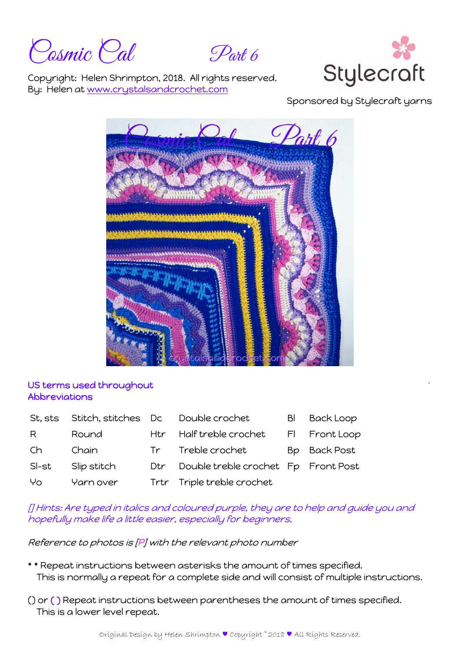Posmic Pal Part 6



Copyright: Helen Shrimpton, 2018. All rights reserved. By: Helen at www.crystalsandcrochet.com

Sponsored by Stylecraft yarns



## US terms used throughout Abbreviations

| St. sts |             |     | Stitch, stitches Dc Double crochet  | BI | <b>Back Loop</b> |
|---------|-------------|-----|-------------------------------------|----|------------------|
| R       | Round       |     | Htr Half treble crochet             |    | FI Front Loop    |
| Ch      | Chain       |     | Tr Treble crochet                   |    | Bp Back Post     |
| SI-st   | Slip stitch | Dtr | Double treble crochet Fp Front Post |    |                  |
| Yo      | Yarn over   |     | Trtr Triple treble crochet          |    |                  |

[] Hints: Are typed in italics and coloured purple, they are to help and guide you and hopefully make life a little easier, especially for beginners.

Reference to photos is [P] with the relevant photo number

- \* \* Repeat instructions between asterisks the amount of times specified. This is normally a repeat for a complete side and will consist of multiple instructions.
- () or ( ) Repeat instructions between parentheses the amount of times specified. This is a lower level repeat.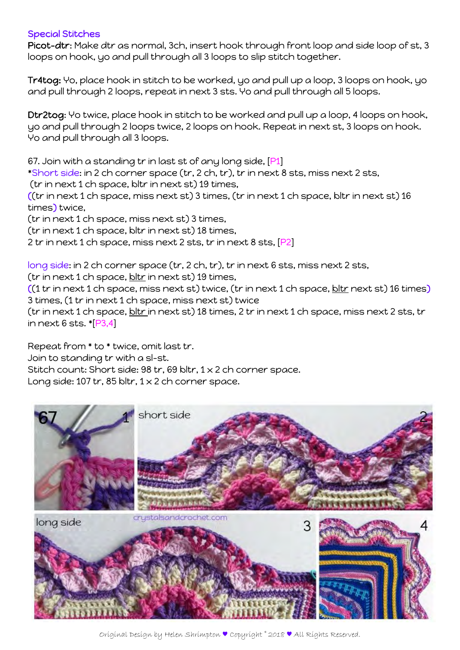## Special Stitches

Picot-dtr: Make dtr as normal, 3ch, insert hook through front loop and side loop of st, 3 loops on hook, yo and pull through all 3 loops to slip stitch together.

Tr4tog: Yo, place hook in stitch to be worked, yo and pull up a loop, 3 loops on hook, yo and pull through 2 loops, repeat in next 3 sts. Yo and pull through all 5 loops.

Dtr2tog: Yo twice, place hook in stitch to be worked and pull up a loop, 4 loops on hook, yo and pull through 2 loops twice, 2 loops on hook. Repeat in next st, 3 loops on hook. Yo and pull through all 3 loops.

67. Join with a standing tr in last st of any long side, [P1]

\*Short side: in 2 ch corner space (tr, 2 ch, tr), tr in next 8 sts, miss next 2 sts,

(tr in next 1 ch space, bltr in next st) 19 times,

((tr in next 1 ch space, miss next st) 3 times, (tr in next 1 ch space, bltr in next st) 16 times) twice,

(tr in next 1 ch space, miss next st) 3 times,

(tr in next 1 ch space, bltr in next st) 18 times,

2 tr in next 1 ch space, miss next 2 sts, tr in next 8 sts, [P2]

long side: in 2 ch corner space (tr, 2 ch, tr), tr in next 6 sts, miss next 2 sts,

( $\text{tr}$  in next 1 ch space,  $\frac{\text{bltr}}{\text{bl}}$  in next st) 19 times,

 $((1 tr in next 1 ch space, miss next st)$  twice,  $(tr in next 1 ch space, bltr next st)$  16 times) 3 times, (1 tr in next 1 ch space, miss next st) twice

(tr in next 1 ch space, bltr in next st) 18 times, 2 tr in next 1 ch space, miss next 2 sts, tr in next 6 sts. \*[P3,4]

Repeat from \* to \* twice, omit last tr. Join to standing tr with a sl-st.

Stitch count: Short side: 98 tr, 69 bltr, 1 x 2 ch corner space.

Long side: 107 tr, 85 bltr,  $1 \times 2$  ch corner space.

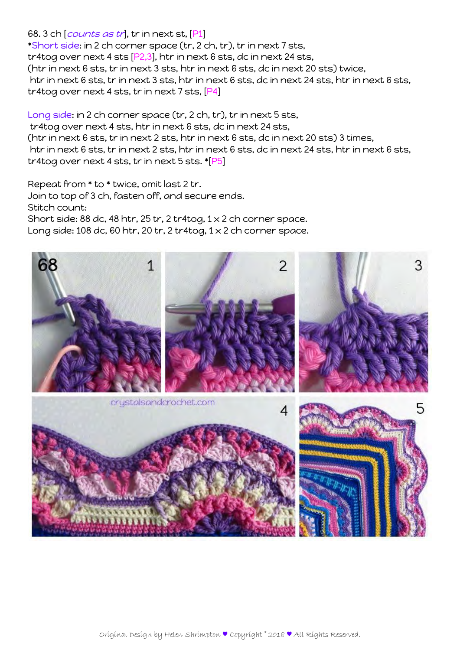## 68. 3 ch [*counts as tr*], tr in next st, [P1]

\*Short side: in 2 ch corner space (tr, 2 ch, tr), tr in next 7 sts, tr4tog over next 4 sts [P2,3], htr in next 6 sts, dc in next 24 sts, (htr in next 6 sts, tr in next 3 sts, htr in next 6 sts, dc in next 20 sts) twice, htr in next 6 sts, tr in next 3 sts, htr in next 6 sts, dc in next 24 sts, htr in next 6 sts, tr4tog over next 4 sts, tr in next 7 sts, [P4]

Long side: in 2 ch corner space (tr, 2 ch, tr), tr in next 5 sts,

 tr4tog over next 4 sts, htr in next 6 sts, dc in next 24 sts, (htr in next 6 sts, tr in next 2 sts, htr in next 6 sts, dc in next 20 sts) 3 times, htr in next 6 sts, tr in next 2 sts, htr in next 6 sts, dc in next 24 sts, htr in next 6 sts, tr4tog over next 4 sts, tr in next 5 sts. \*[P5]

Repeat from \* to \* twice, omit last 2 tr. Join to top of 3 ch, fasten off, and secure ends. Stitch count: Short side: 88 dc, 48 htr, 25 tr, 2 tr4tog,  $1 \times 2$  ch corner space. Long side: 108 dc, 60 htr, 20 tr, 2 tr4tog, 1 x 2 ch corner space.

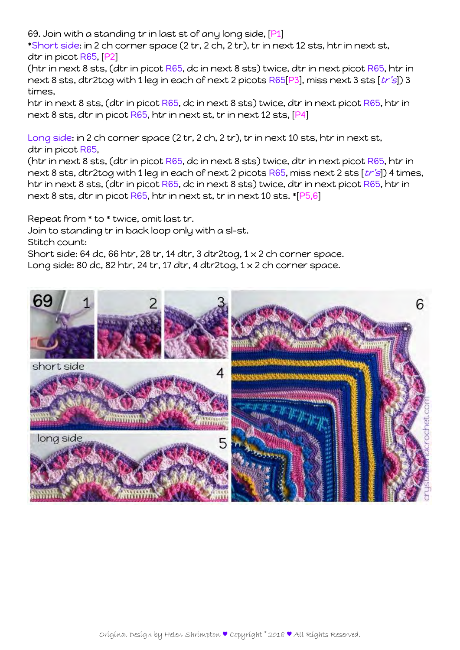69. Join with a standing tr in last st of any long side, [P1]

\*Short side: in 2 ch corner space (2 tr, 2 ch, 2 tr), tr in next 12 sts, htr in next st, dtr in picot R65, [P2]

(htr in next 8 sts, (dtr in picot R65, dc in next 8 sts) twice, dtr in next picot R65, htr in next 8 sts, dtr2tog with 1 leg in each of next 2 picots  $R65[P3]$ , miss next 3 sts  $[tr's]$  3 times,

htr in next 8 sts, (dtr in picot R65, dc in next 8 sts) twice, dtr in next picot R65, htr in next 8 sts, dtr in picot R65, htr in next st, tr in next 12 sts, [P4]

Long side: in 2 ch corner space (2 tr, 2 ch, 2 tr), tr in next 10 sts, htr in next st, dtr in picot R65,

(htr in next 8 sts, (dtr in picot R65, dc in next 8 sts) twice, dtr in next picot R65, htr in next 8 sts, dtr2tog with 1 leg in each of next 2 picots  $R65$ , miss next 2 sts  $[tr's]$ ) 4 times, htr in next 8 sts, (dtr in picot R65, dc in next 8 sts) twice, dtr in next picot R65, htr in next 8 sts, dtr in picot R65, htr in next st, tr in next 10 sts. \*[P5,6]

Repeat from \* to \* twice, omit last tr.

Join to standing tr in back loop only with a sl-st.

Stitch count:

Short side: 64 dc, 66 htr, 28 tr, 14 dtr, 3 dtr2tog,  $1 \times 2$  ch corner space. Long side: 80 dc, 82 htr, 24 tr, 17 dtr, 4 dtr2tog,  $1 \times 2$  ch corner space.

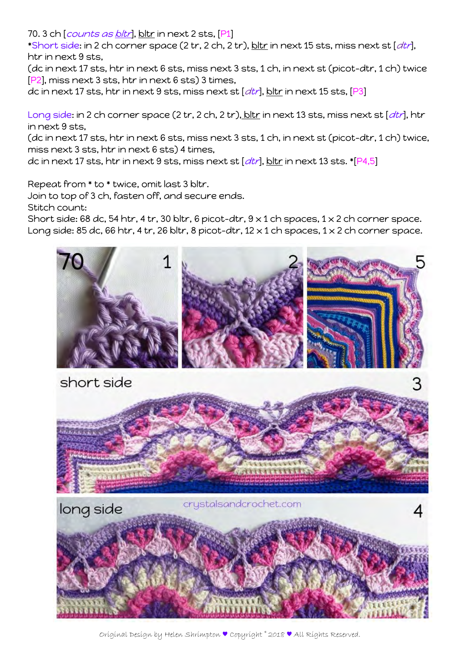70. 3 ch [*counts as <u>bltr</u>]*, bltr in next 2 sts, [P1]

 $*$ Short side: in 2 ch corner space (2 tr, 2 ch, 2 tr),  $\frac{\text{bltr}}{\text{bltr}}$  in next 15 sts, miss next st  $[dt\eta]$ , htr in next 9 sts,

(dc in next 17 sts, htr in next 6 sts, miss next 3 sts, 1 ch, in next st (picot-dtr, 1 ch) twice [P2], miss next 3 sts, htr in next 6 sts) 3 times,

dc in next 17 sts, htr in next 9 sts, miss next st  $[dtr]$ , bltr in next 15 sts,  $[P3]$ 

Long side: in 2 ch corner space (2 tr, 2 ch, 2 tr), bltr in next 13 sts, miss next st [dtr], htr in next 9 sts,

(dc in next 17 sts, htr in next 6 sts, miss next 3 sts, 1 ch, in next st (picot-dtr, 1 ch) twice, miss next 3 sts, htr in next 6 sts) 4 times,

dc in next 17 sts, htr in next 9 sts, miss next st  $[dt\eta]$ , bltr in next 13 sts. \*[P4,5]

Repeat from \* to \* twice, omit last 3 bltr.

Join to top of 3 ch, fasten off, and secure ends.

Stitch count:

Short side: 68 dc, 54 htr, 4 tr, 30 bltr, 6 picot-dtr,  $9 \times 1$  ch spaces,  $1 \times 2$  ch corner space. Long side: 85 dc, 66 htr, 4 tr, 26 bltr, 8 picot-dtr, 12  $\times$  1 ch spaces, 1  $\times$  2 ch corner space.



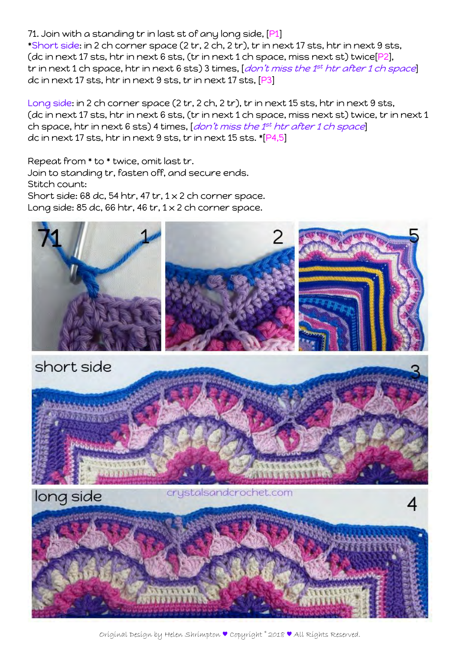71. Join with a standing tr in last st of any long side, [P1] \*Short side: in 2 ch corner space (2 tr, 2 ch, 2 tr), tr in next 17 sts, htr in next 9 sts, (dc in next 17 sts, htr in next 6 sts, (tr in next 1 ch space, miss next st) twice[P2], tr in next 1 ch space, htr in next 6 sts) 3 times,  $[don't$  miss the  $1<sup>st</sup>$  htr after 1 ch space dc in next 17 sts, htr in next 9 sts, tr in next 17 sts, [P3]

Long side: in 2 ch corner space (2 tr, 2 ch, 2 tr), tr in next 15 sts, htr in next 9 sts, (dc in next 17 sts, htr in next 6 sts, (tr in next 1 ch space, miss next st) twice, tr in next 1 ch space, htr in next 6 sts) 4 times,  $|don't$  miss the  $1<sup>st</sup>$  htr after 1 ch space dc in next 17 sts, htr in next 9 sts, tr in next 15 sts. \*[P4,5]

Repeat from \* to \* twice, omit last tr. Join to standing tr, fasten off, and secure ends. Stitch count: Short side: 68 dc, 54 htr, 47 tr,  $1 \times 2$  ch corner space. Long side: 85 dc, 66 htr, 46 tr,  $1 \times 2$  ch corner space.



Original Design by Helen Shrimpton ♥ Copyright © 2018 ♥ All Rights Reserved.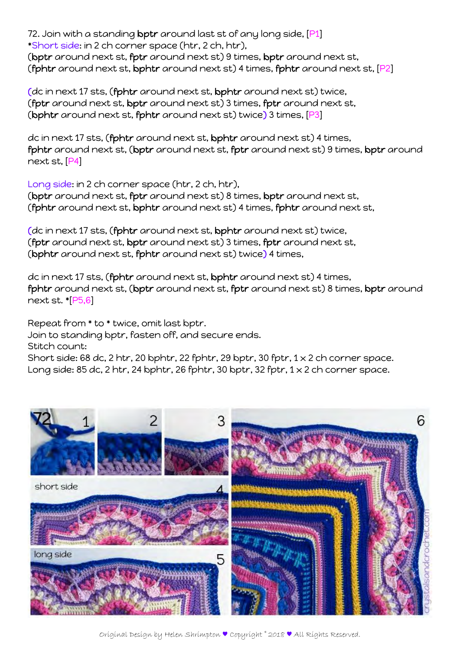72. Join with a standing bptr around last st of any long side, [P1] \*Short side: in 2 ch corner space (htr, 2 ch, htr), (bptr around next st, fptr around next st) 9 times, bptr around next st, (fphtr around next st, bphtr around next st) 4 times, fphtr around next st, [P2]

(dc in next 17 sts, (fphtr around next st, bphtr around next st) twice, (fptr around next st, bptr around next st) 3 times, fptr around next st, (bphtr around next st, fphtr around next st) twice) 3 times, [P3]

dc in next 17 sts, (fphtr around next st, bphtr around next st) 4 times, fphtr around next st, (bptr around next st, fptr around next st) 9 times, bptr around next st, [P4]

Long side: in 2 ch corner space (htr, 2 ch, htr), (bptr around next st, fptr around next st) 8 times, bptr around next st, (fphtr around next st, bphtr around next st) 4 times, fphtr around next st,

(dc in next 17 sts, (fphtr around next st, bphtr around next st) twice, (fptr around next st, bptr around next st) 3 times, fptr around next st, (bphtr around next st, fphtr around next st) twice) 4 times,

dc in next 17 sts, (fphtr around next st, bphtr around next st) 4 times, fphtr around next st, (bptr around next st, fptr around next st) 8 times, bptr around next st. \*[P5,6]

Repeat from \* to \* twice, omit last bptr. Join to standing bptr, fasten off, and secure ends. Stitch count: Short side: 68 dc, 2 htr, 20 bphtr, 22 fphtr, 29 bptr, 30 fptr,  $1 \times 2$  ch corner space. Long side: 85 dc, 2 htr, 24 bphtr, 26 fphtr, 30 bptr, 32 fptr,  $1 \times 2$  ch corner space.

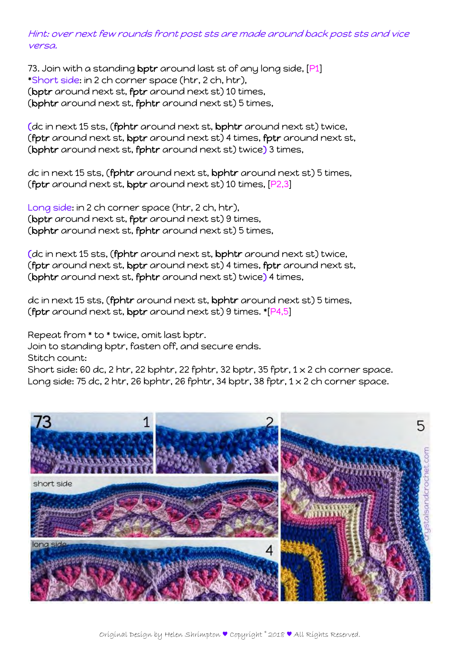Hint: over next few rounds front post sts are made around back post sts and vice versa.

73. Join with a standing bptr around last st of any long side, [P1] \*Short side: in 2 ch corner space (htr, 2 ch, htr), (bptr around next st, fptr around next st) 10 times, (bphtr around next st, fphtr around next st) 5 times,

(dc in next 15 sts, (fphtr around next st, bphtr around next st) twice, (fptr around next st, bptr around next st) 4 times, fptr around next st, (bphtr around next st, fphtr around next st) twice) 3 times,

dc in next 15 sts, (fphtr around next st, bphtr around next st) 5 times, (fptr around next st, bptr around next st) 10 times, [P2,3]

Long side: in 2 ch corner space (htr, 2 ch, htr), (bptr around next st, fptr around next st) 9 times, (bphtr around next st, fphtr around next st) 5 times,

(dc in next 15 sts, (fphtr around next st, bphtr around next st) twice, (fptr around next st, bptr around next st) 4 times, fptr around next st, (bphtr around next st, fphtr around next st) twice) 4 times,

dc in next 15 sts, (fphtr around next st, bphtr around next st) 5 times, (fptr around next st, bptr around next st) 9 times.  $[P4,5]$ 

Repeat from \* to \* twice, omit last bptr.

Join to standing bptr, fasten off, and secure ends.

Stitch count:

Short side: 60 dc, 2 htr, 22 bphtr, 22 fphtr, 32 bptr, 35 fptr,  $1 \times 2$  ch corner space. Long side: 75 dc, 2 htr, 26 bphtr, 26 fphtr, 34 bptr, 38 fptr,  $1 \times 2$  ch corner space.

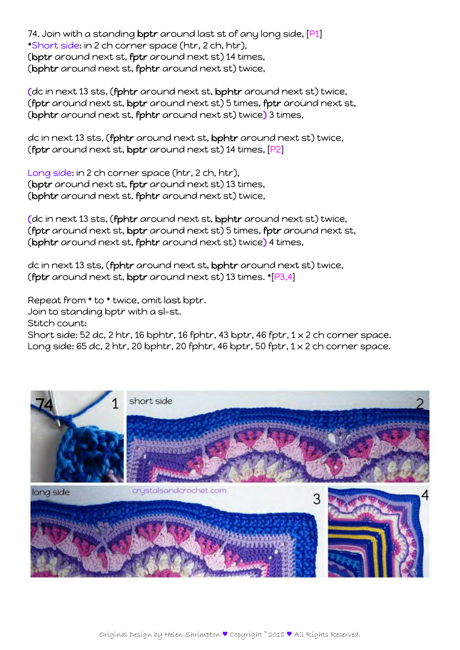74. Join with a standing bptr around last st of any long side, [P1] \*Short side: in 2 ch corner space (htr, 2 ch, htr), (bptr around next st, fptr around next st) 14 times, (bphtr around next st, fphtr around next st) twice,

(dc in next 13 sts, (fphtr around next st, bphtr around next st) twice, (fptr around next st, bptr around next st) 5 times, fptr around next st, (bphtr around next st, fphtr around next st) twice) 3 times,

dc in next 13 sts, (fphtr around next st, bphtr around next st) twice, (fptr around next st, bptr around next st) 14 times, [P2]

Long side: in 2 ch corner space (htr, 2 ch, htr), (bptr around next st, fptr around next st) 13 times, (bphtr around next st, fphtr around next st) twice,

(dc in next 13 sts, (fphtr around next st, bphtr around next st) twice, (fptr around next st, bptr around next st) 5 times, fptr around next st, (bphtr around next st, fphtr around next st) twice) 4 times,

dc in next 13 sts, (fphtr around next st, bphtr around next st) twice, (fptr around next st, bptr around next st) 13 times. \*[P3,4]

Repeat from \* to \* twice, omit last bptr.

Join to standing bptr with a sl-st.

Stitch count:

Short side: 52 dc, 2 htr, 16 bphtr, 16 fphtr, 43 bptr, 46 fptr,  $1 \times 2$  ch corner space. Long side: 65 dc, 2 htr, 20 bphtr, 20 fphtr, 46 bptr, 50 fptr,  $1 \times 2$  ch corner space.